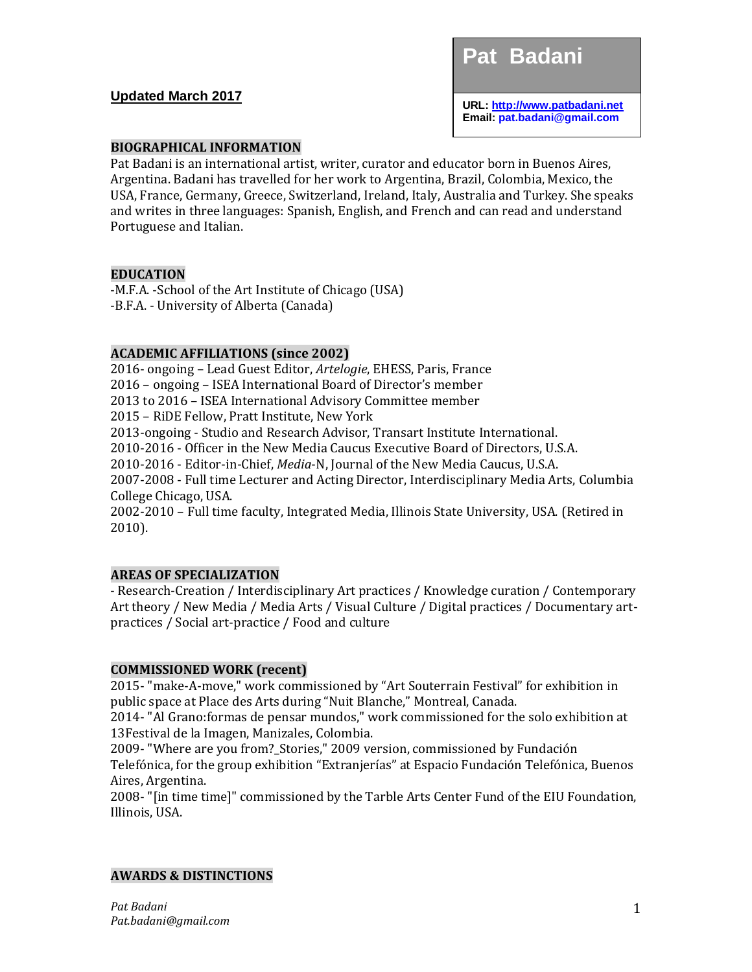## **Updated March 2017**

**Pat Badani** 

**URL[: http://www.patbadani.net](http://www.patbadani.org/) Email: pat.badani@gmail.com**

### **BIOGRAPHICAL INFORMATION**

Pat Badani is an international artist, writer, curator and educator born in Buenos Aires, Argentina. Badani has travelled for her work to Argentina, Brazil, Colombia, Mexico, the USA, France, Germany, Greece, Switzerland, Ireland, Italy, Australia and Turkey. She speaks and writes in three languages: Spanish, English, and French and can read and understand Portuguese and Italian.

#### **EDUCATION**

-M.F.A. -School of the Art Institute of Chicago (USA) -B.F.A. - University of Alberta (Canada)

#### **ACADEMIC AFFILIATIONS (since 2002)**

2016- ongoing – Lead Guest Editor, *Artelogie*, EHESS, Paris, France 2016 – ongoing – ISEA International Board of Director's member 2013 to 2016 – ISEA International Advisory Committee member 2015 – RiDE Fellow, Pratt Institute, New York 2013-ongoing - Studio and Research Advisor, Transart Institute International. 2010-2016 - Officer in the New Media Caucus Executive Board of Directors, U.S.A. 2010-2016 - Editor-in-Chief, *Media*-N, Journal of the New Media Caucus, U.S.A. 2007-2008 - Full time Lecturer and Acting Director, Interdisciplinary Media Arts, Columbia College Chicago, USA. 2002-2010 – Full time faculty, Integrated Media, Illinois State University, USA. (Retired in

2010).

### **AREAS OF SPECIALIZATION**

- Research-Creation / Interdisciplinary Art practices / Knowledge curation / Contemporary Art theory / New Media / Media Arts / Visual Culture / Digital practices / Documentary artpractices / Social art-practice / Food and culture

#### **COMMISSIONED WORK (recent)**

2015- "make-A-move," work commissioned by "Art Souterrain Festival" for exhibition in public space at Place des Arts during "Nuit Blanche," Montreal, Canada.

2014- "Al Grano:formas de pensar mundos," work commissioned for the solo exhibition at 13Festival de la Imagen, Manizales, Colombia.

2009- "Where are you from?\_Stories," 2009 version, commissioned by Fundación Telefónica, for the group exhibition "Extranjerías" at Espacio Fundación Telefónica, Buenos Aires, Argentina.

2008- "[in time time]" commissioned by the Tarble Arts Center Fund of the EIU Foundation, Illinois, USA.

#### **AWARDS & DISTINCTIONS**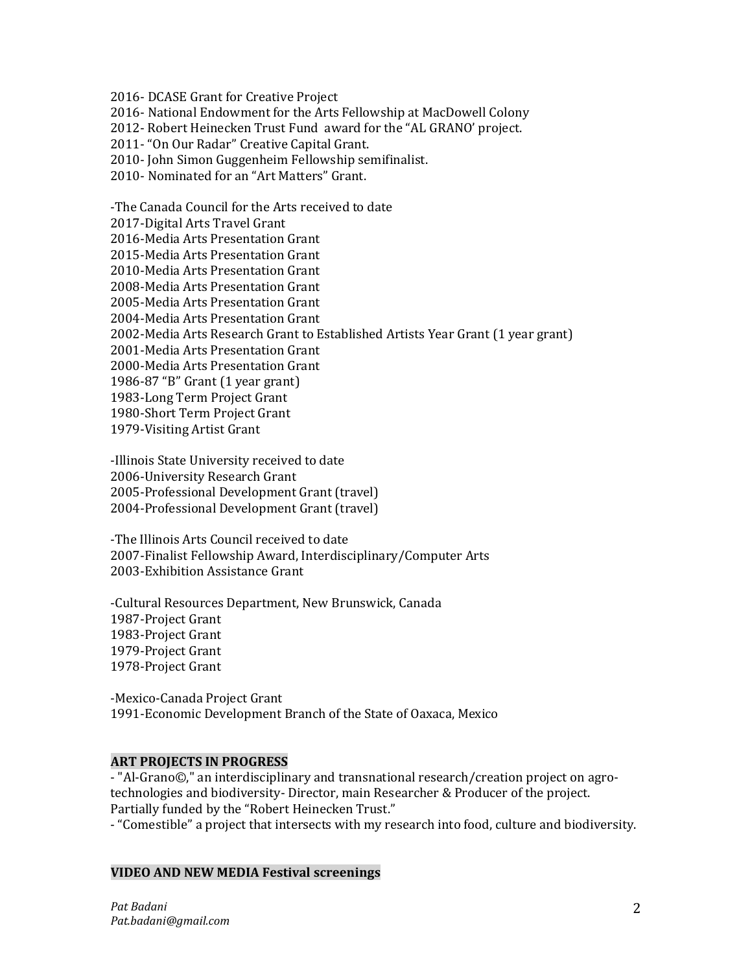2016- DCASE Grant for Creative Project

2016- National Endowment for the Arts Fellowship at MacDowell Colony

2012- Robert Heinecken Trust Fund award for the "AL GRANO' project.

2011- "On Our Radar" Creative Capital Grant.

2010- John Simon Guggenheim Fellowship semifinalist.

2010- Nominated for an "Art Matters" Grant.

-The Canada Council for the Arts received to date

2017-Digital Arts Travel Grant

2016-Media Arts Presentation Grant

2015-Media Arts Presentation Grant

2010-Media Arts Presentation Grant

2008-Media Arts Presentation Grant

2005-Media Arts Presentation Grant

2004-Media Arts Presentation Grant

2002-Media Arts Research Grant to Established Artists Year Grant (1 year grant)

2001-Media Arts Presentation Grant

2000-Media Arts Presentation Grant

1986-87 "B" Grant (1 year grant)

1983-Long Term Project Grant

1980-Short Term Project Grant

1979-Visiting Artist Grant

-Illinois State University received to date 2006-University Research Grant 2005-Professional Development Grant (travel) 2004-Professional Development Grant (travel)

-The Illinois Arts Council received to date 2007-Finalist Fellowship Award, Interdisciplinary/Computer Arts 2003-Exhibition Assistance Grant

-Cultural Resources Department, New Brunswick, Canada 1987-Project Grant 1983-Project Grant 1979-Project Grant 1978-Project Grant

-Mexico-Canada Project Grant 1991-Economic Development Branch of the State of Oaxaca, Mexico

### **ART PROJECTS IN PROGRESS**

- "Al-Grano©," an interdisciplinary and transnational research/creation project on agrotechnologies and biodiversity- Director, main Researcher & Producer of the project. Partially funded by the "Robert Heinecken Trust."

- "Comestible" a project that intersects with my research into food, culture and biodiversity.

### **VIDEO AND NEW MEDIA Festival screenings**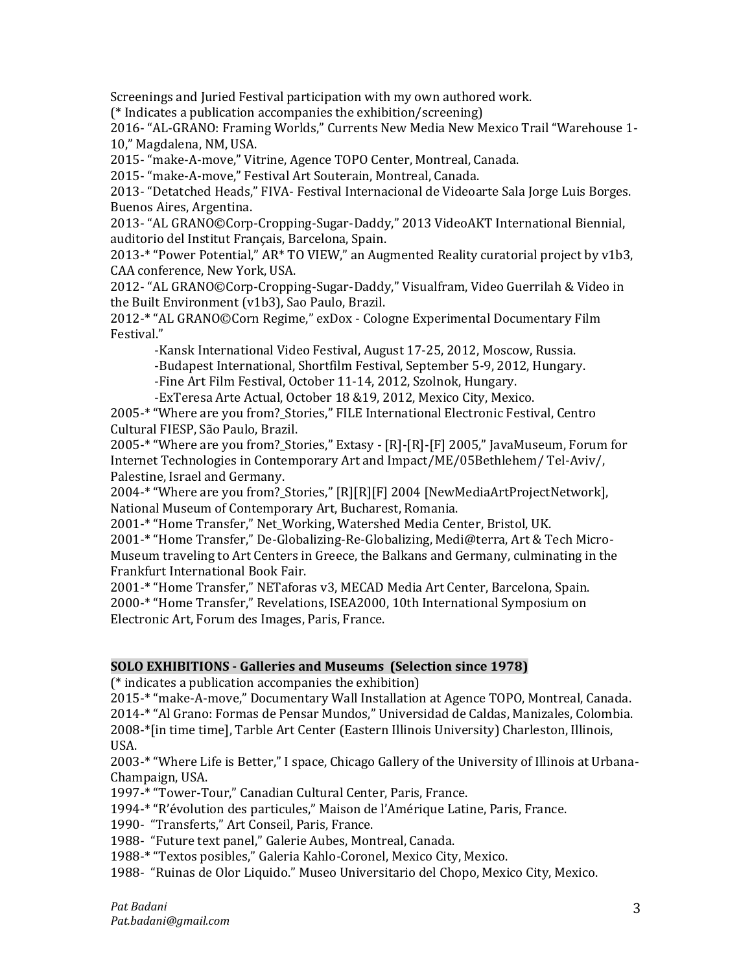Screenings and Juried Festival participation with my own authored work.

(\* Indicates a publication accompanies the exhibition/screening)

2016- "AL-GRANO: Framing Worlds," Currents New Media New Mexico Trail "Warehouse 1- 10," Magdalena, NM, USA.

2015- "make-A-move," Vitrine, Agence TOPO Center, Montreal, Canada.

2015- "make-A-move," Festival Art Souterain, Montreal, Canada.

2013- "Detatched Heads," FIVA- Festival Internacional de Videoarte Sala Jorge Luis Borges. Buenos Aires, Argentina.

2013- "AL GRANO©Corp-Cropping-Sugar-Daddy," 2013 VideoAKT International Biennial, auditorio del Institut Français, Barcelona, Spain.

2013-\* "Power Potential," AR\* TO VIEW," an Augmented Reality curatorial project by v1b3, CAA conference, New York, USA.

2012- "AL GRANO©Corp-Cropping-Sugar-Daddy," Visualfram, Video Guerrilah & Video in the Built Environment (v1b3), Sao Paulo, Brazil.

2012-\* "AL GRANO©Corn Regime," exDox - Cologne Experimental Documentary Film Festival."

 -Kansk International Video Festival, August 17-25, 2012, Moscow, Russia. -Budapest International, Shortfilm Festival, September 5-9, 2012, Hungary. -Fine Art Film Festival, October 11-14, 2012, Szolnok, Hungary.

-ExTeresa Arte Actual, October 18 &19, 2012, Mexico City, Mexico.

2005-\* "Where are you from?\_Stories," FILE International Electronic Festival, Centro Cultural FIESP, São Paulo, Brazil.

2005-\* "Where are you from?\_Stories," Extasy - [R]-[R]-[F] 2005," JavaMuseum, Forum for Internet Technologies in Contemporary Art and Impact/ME/05Bethlehem/ Tel-Aviv/, Palestine, Israel and Germany.

2004-\* "Where are you from?\_Stories," [R][R][F] 2004 [NewMediaArtProjectNetwork], National Museum of Contemporary Art, Bucharest, Romania.

2001-\* "Home Transfer," Net\_Working, Watershed Media Center, Bristol, UK.

2001-\* "Home Transfer," De-Globalizing-Re-Globalizing, Medi@terra, Art & Tech Micro-Museum traveling to Art Centers in Greece, the Balkans and Germany, culminating in the Frankfurt International Book Fair.

2001-\* "Home Transfer," NETaforas v3, MECAD Media Art Center, Barcelona, Spain. 2000-\* "Home Transfer," Revelations, ISEA2000, 10th International Symposium on Electronic Art, Forum des Images, Paris, France.

# **SOLO EXHIBITIONS - Galleries and Museums (Selection since 1978)**

(\* indicates a publication accompanies the exhibition)

2015-\* "make-A-move," Documentary Wall Installation at Agence TOPO, Montreal, Canada. 2014-\* "Al Grano: Formas de Pensar Mundos," Universidad de Caldas, Manizales, Colombia. 2008-\*[in time time], Tarble Art Center (Eastern Illinois University) Charleston, Illinois, USA.

2003-\* "Where Life is Better," I space, Chicago Gallery of the University of Illinois at Urbana-Champaign, USA.

1997-\* "Tower-Tour," Canadian Cultural Center, Paris, France.

1994-\* "R'évolution des particules," Maison de l'Amérique Latine, Paris, France.

1990- "Transferts," Art Conseil, Paris, France.

1988- "Future text panel," Galerie Aubes, Montreal, Canada.

1988-\* "Textos posibles," Galeria Kahlo-Coronel, Mexico City, Mexico.

1988- "Ruinas de Olor Liquido." Museo Universitario del Chopo, Mexico City, Mexico.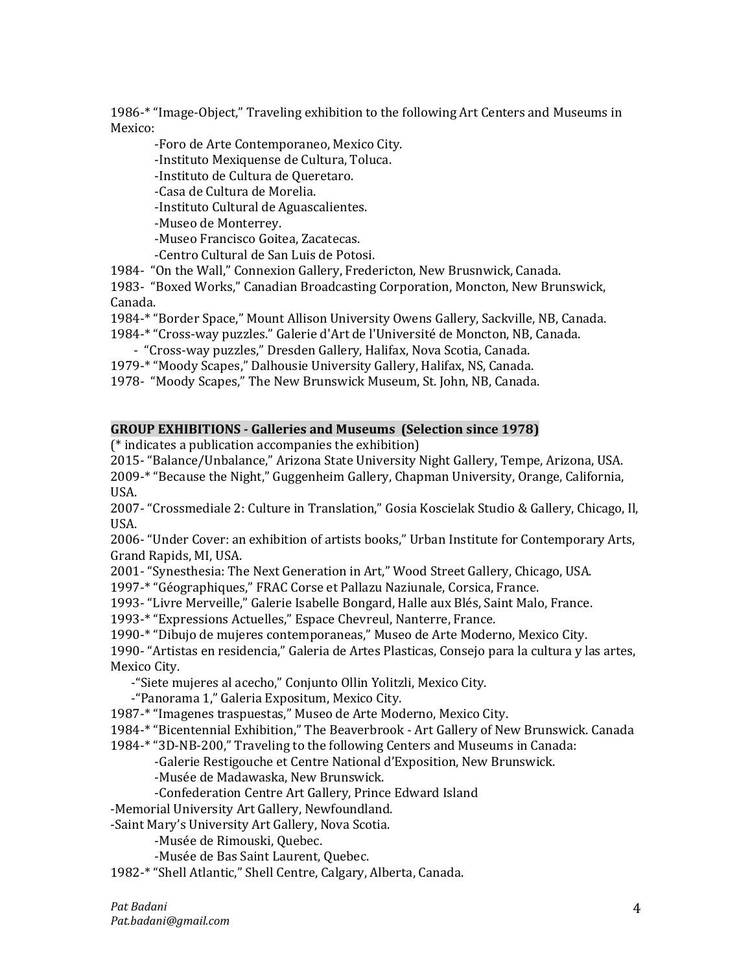1986-\* "Image-Object," Traveling exhibition to the following Art Centers and Museums in Mexico:

 -Foro de Arte Contemporaneo, Mexico City. -Instituto Mexiquense de Cultura, Toluca. -Instituto de Cultura de Queretaro. -Casa de Cultura de Morelia. -Instituto Cultural de Aguascalientes. -Museo de Monterrey. -Museo Francisco Goitea, Zacatecas. -Centro Cultural de San Luis de Potosi. 1984- "On the Wall," Connexion Gallery, Fredericton, New Brusnwick, Canada.

1983- "Boxed Works," Canadian Broadcasting Corporation, Moncton, New Brunswick, Canada.

- 1984-\* "Border Space," Mount Allison University Owens Gallery, Sackville, NB, Canada.
- 1984-\* "Cross-way puzzles." Galerie d'Art de l'Université de Moncton, NB, Canada.
- "Cross-way puzzles," Dresden Gallery, Halifax, Nova Scotia, Canada.
- 1979-\* "Moody Scapes," Dalhousie University Gallery, Halifax, NS, Canada.
- 1978- "Moody Scapes," The New Brunswick Museum, St. John, NB, Canada.

#### **GROUP EXHIBITIONS - Galleries and Museums (Selection since 1978)**

(\* indicates a publication accompanies the exhibition)

2015- "Balance/Unbalance," Arizona State University Night Gallery, Tempe, Arizona, USA. 2009-\* "Because the Night," Guggenheim Gallery, Chapman University, Orange, California, USA.

2007- "Crossmediale 2: Culture in Translation," Gosia Koscielak Studio & Gallery, Chicago, Il, USA.

2006- "Under Cover: an exhibition of artists books," Urban Institute for Contemporary Arts, Grand Rapids, MI, USA.

2001- "Synesthesia: The Next Generation in Art," Wood Street Gallery, Chicago, USA.

1997-\* "Géographiques," FRAC Corse et Pallazu Naziunale, Corsica, France.

1993- "Livre Merveille," Galerie Isabelle Bongard, Halle aux Blés, Saint Malo, France.

1993-\* "Expressions Actuelles," Espace Chevreul, Nanterre, France.

1990-\* "Dibujo de mujeres contemporaneas," Museo de Arte Moderno, Mexico City.

1990- "Artistas en residencia," Galeria de Artes Plasticas, Consejo para la cultura y las artes, Mexico City.

-"Siete mujeres al acecho," Conjunto Ollin Yolitzli, Mexico City.

-"Panorama 1," Galeria Expositum, Mexico City.

1987-\* "Imagenes traspuestas," Museo de Arte Moderno, Mexico City.

1984-\* "Bicentennial Exhibition," The Beaverbrook - Art Gallery of New Brunswick. Canada

1984-\* "3D-NB-200," Traveling to the following Centers and Museums in Canada:

-Galerie Restigouche et Centre National d'Exposition, New Brunswick.

-Musée de Madawaska, New Brunswick.

-Confederation Centre Art Gallery, Prince Edward Island

-Memorial University Art Gallery, Newfoundland.

-Saint Mary's University Art Gallery, Nova Scotia.

-Musée de Rimouski, Quebec.

-Musée de Bas Saint Laurent, Quebec.

1982-\* "Shell Atlantic," Shell Centre, Calgary, Alberta, Canada.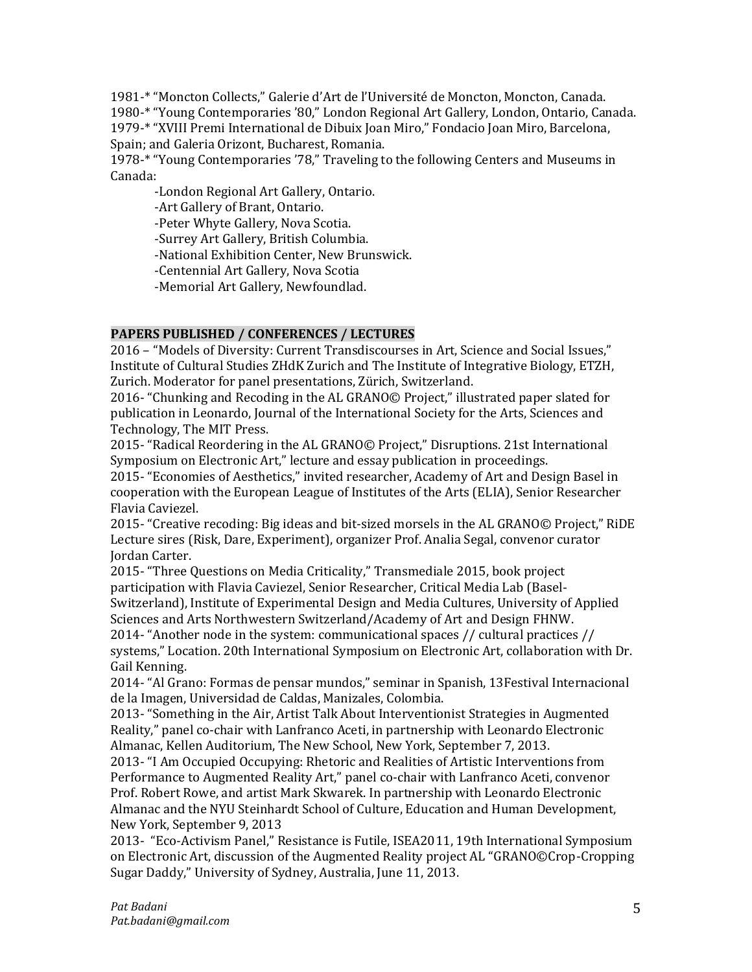1981-\* "Moncton Collects," Galerie d'Art de l'Université de Moncton, Moncton, Canada. 1980-\* "Young Contemporaries '80," London Regional Art Gallery, London, Ontario, Canada. 1979-\* "XVIII Premi International de Dibuix Joan Miro," Fondacio Joan Miro, Barcelona, Spain; and Galeria Orizont, Bucharest, Romania.

1978-\* "Young Contemporaries '78," Traveling to the following Centers and Museums in Canada:

-London Regional Art Gallery, Ontario.

-Art Gallery of Brant, Ontario.

-Peter Whyte Gallery, Nova Scotia.

-Surrey Art Gallery, British Columbia.

-National Exhibition Center, New Brunswick.

-Centennial Art Gallery, Nova Scotia

-Memorial Art Gallery, Newfoundlad.

# **PAPERS PUBLISHED / CONFERENCES / LECTURES**

2016 – "Models of Diversity: Current Transdiscourses in Art, Science and Social Issues," Institute of Cultural Studies ZHdK Zurich and The Institute of Integrative Biology, ETZH, Zurich. Moderator for panel presentations, Zürich, Switzerland.

2016- "Chunking and Recoding in the AL GRANO© Project," illustrated paper slated for publication in Leonardo, Journal of the International Society for the Arts, Sciences and Technology, The MIT Press.

2015- "Radical Reordering in the AL GRANO© Project," Disruptions. 21st International Symposium on Electronic Art," lecture and essay publication in proceedings.

2015- "Economies of Aesthetics," invited researcher, Academy of Art and Design Basel in cooperation with the European League of Institutes of the Arts (ELIA), Senior Researcher Flavia Caviezel.

2015- "Creative recoding: Big ideas and bit-sized morsels in the AL GRANO© Project," RiDE Lecture sires (Risk, Dare, Experiment), organizer Prof. Analia Segal, convenor curator Jordan Carter.

2015- "Three Questions on Media Criticality," Transmediale 2015, book project participation with Flavia Caviezel, Senior Researcher, Critical Media Lab (Basel-Switzerland), Institute of Experimental Design and Media Cultures, University of Applied Sciences and Arts Northwestern Switzerland/Academy of Art and Design FHNW.

2014- "Another node in the system: communicational spaces // cultural practices // systems," Location. 20th International Symposium on Electronic Art, collaboration with Dr. Gail Kenning.

2014- "Al Grano: Formas de pensar mundos," seminar in Spanish, 13Festival Internacional de la Imagen, Universidad de Caldas, Manizales, Colombia.

2013- "Something in the Air, Artist Talk About Interventionist Strategies in Augmented Reality," panel co-chair with Lanfranco Aceti, in partnership with Leonardo Electronic Almanac, Kellen Auditorium, The New School, New York, September 7, 2013.

2013- "I Am Occupied Occupying: Rhetoric and Realities of Artistic Interventions from Performance to Augmented Reality Art," panel co-chair with Lanfranco Aceti, convenor Prof. Robert Rowe, and artist Mark Skwarek. In partnership with Leonardo Electronic Almanac and the NYU Steinhardt School of Culture, Education and Human Development, New York, September 9, 2013

2013- "Eco-Activism Panel," Resistance is Futile, ISEA2011, 19th International Symposium on Electronic Art, discussion of the Augmented Reality project AL "GRANO©Crop-Cropping Sugar Daddy," University of Sydney, Australia, June 11, 2013.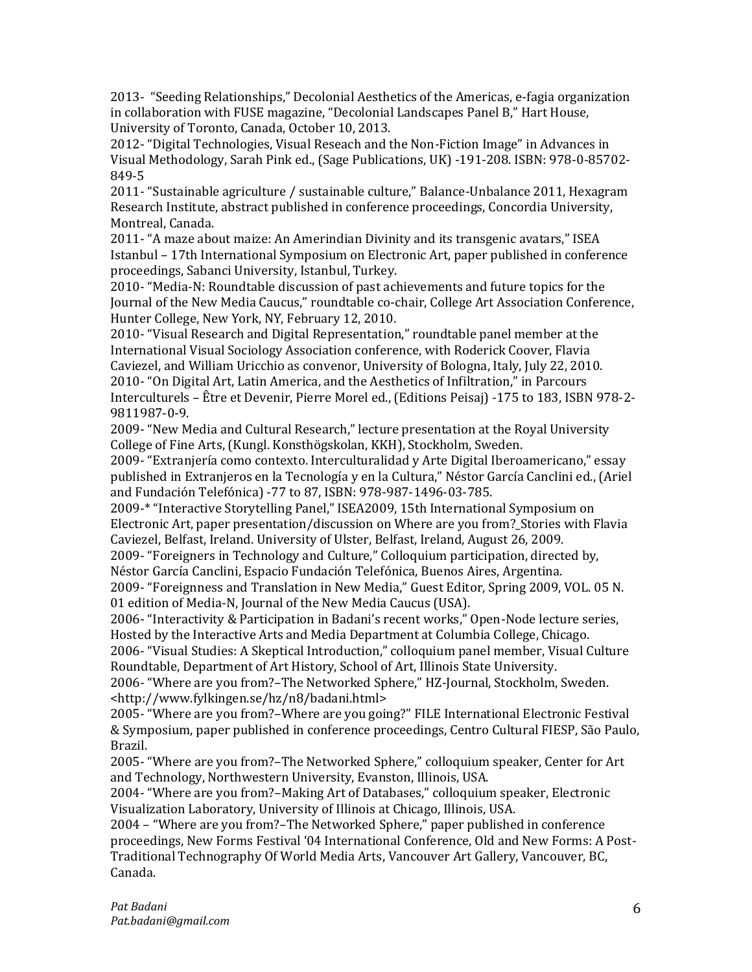2013- "Seeding Relationships," Decolonial Aesthetics of the Americas, e-fagia organization in collaboration with FUSE magazine, "Decolonial Landscapes Panel B," Hart House, University of Toronto, Canada, October 10, 2013.

2012- "Digital Technologies, Visual Reseach and the Non-Fiction Image" in Advances in Visual Methodology, Sarah Pink ed., (Sage Publications, UK) -191-208. ISBN: 978-0-85702- 849-5

2011- "Sustainable agriculture / sustainable culture," Balance-Unbalance 2011, Hexagram Research Institute, abstract published in conference proceedings, Concordia University, Montreal, Canada.

2011- "A maze about maize: An Amerindian Divinity and its transgenic avatars," ISEA Istanbul – 17th International Symposium on Electronic Art, paper published in conference proceedings, Sabanci University, Istanbul, Turkey.

2010- "Media-N: Roundtable discussion of past achievements and future topics for the Journal of the New Media Caucus," roundtable co-chair, College Art Association Conference, Hunter College, New York, NY, February 12, 2010.

2010- "Visual Research and Digital Representation," roundtable panel member at the International Visual Sociology Association conference, with Roderick Coover, Flavia Caviezel, and William Uricchio as convenor, University of Bologna, Italy, July 22, 2010. 2010- "On Digital Art, Latin America, and the Aesthetics of Infiltration," in Parcours Interculturels – Être et Devenir, Pierre Morel ed., (Editions Peisaj) -175 to 183, ISBN 978-2- 9811987-0-9.

2009- "New Media and Cultural Research," lecture presentation at the Royal University College of Fine Arts, (Kungl. Konsthögskolan, KKH), Stockholm, Sweden.

2009- "Extranjería como contexto. Interculturalidad y Arte Digital Iberoamericano," essay published in Extranjeros en la Tecnología y en la Cultura," Néstor García Canclini ed., (Ariel and Fundación Telefónica) -77 to 87, ISBN: 978-987-1496-03-785.

2009-\* "Interactive Storytelling Panel," ISEA2009, 15th International Symposium on Electronic Art, paper presentation/discussion on Where are you from?\_Stories with Flavia Caviezel, Belfast, Ireland. University of Ulster, Belfast, Ireland, August 26, 2009.

2009- "Foreigners in Technology and Culture," Colloquium participation, directed by, Néstor García Canclini, Espacio Fundación Telefónica, Buenos Aires, Argentina.

2009- "Foreignness and Translation in New Media," Guest Editor, Spring 2009, VOL. 05 N. 01 edition of Media-N, Journal of the New Media Caucus (USA).

2006- "Interactivity & Participation in Badani's recent works," Open-Node lecture series, Hosted by the Interactive Arts and Media Department at Columbia College, Chicago. 2006- "Visual Studies: A Skeptical Introduction," colloquium panel member, Visual Culture

Roundtable, Department of Art History, School of Art, Illinois State University.

2006- "Where are you from?–The Networked Sphere," HZ-Journal, Stockholm, Sweden. <http://www.fylkingen.se/hz/n8/badani.html>

2005- "Where are you from?–Where are you going?" FILE International Electronic Festival & Symposium, paper published in conference proceedings, Centro Cultural FIESP, São Paulo, Brazil.

2005- "Where are you from?–The Networked Sphere," colloquium speaker, Center for Art and Technology, Northwestern University, Evanston, Illinois, USA.

2004- "Where are you from?–Making Art of Databases," colloquium speaker, Electronic Visualization Laboratory, University of Illinois at Chicago, Illinois, USA.

2004 – "Where are you from?–The Networked Sphere," paper published in conference proceedings, New Forms Festival '04 International Conference, Old and New Forms: A Post-Traditional Technography Of World Media Arts, Vancouver Art Gallery, Vancouver, BC, Canada.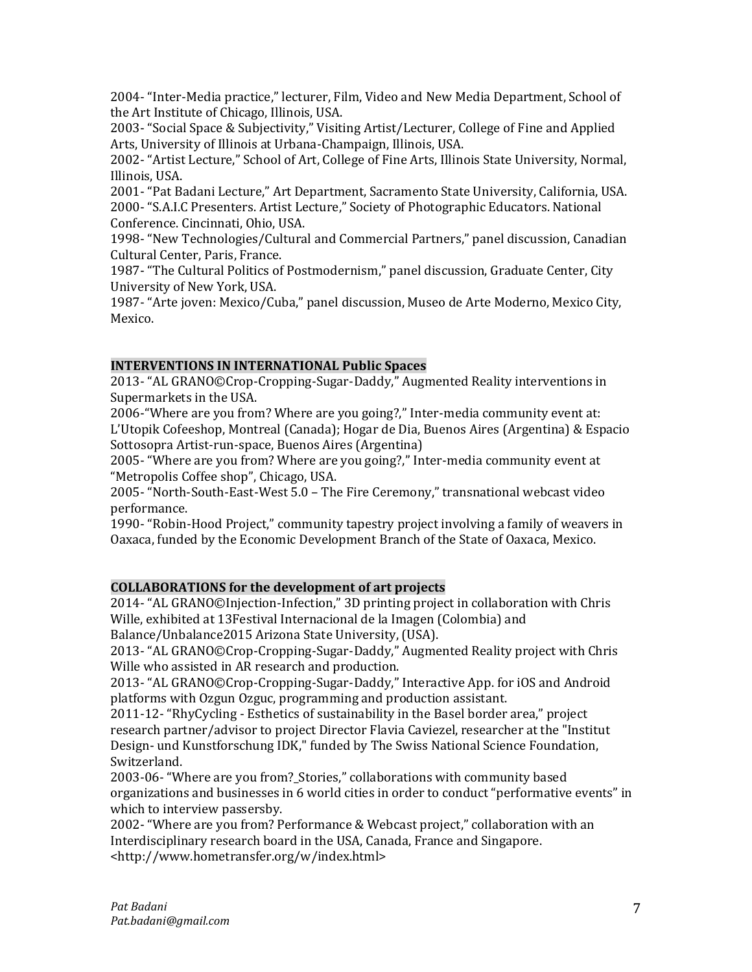2004- "Inter-Media practice," lecturer, Film, Video and New Media Department, School of the Art Institute of Chicago, Illinois, USA.

2003- "Social Space & Subjectivity," Visiting Artist/Lecturer, College of Fine and Applied Arts, University of Illinois at Urbana-Champaign, Illinois, USA.

2002- "Artist Lecture," School of Art, College of Fine Arts, Illinois State University, Normal, Illinois, USA.

2001- "Pat Badani Lecture," Art Department, Sacramento State University, California, USA. 2000- "S.A.I.C Presenters. Artist Lecture," Society of Photographic Educators. National Conference. Cincinnati, Ohio, USA.

1998- "New Technologies/Cultural and Commercial Partners," panel discussion, Canadian Cultural Center, Paris, France.

1987- "The Cultural Politics of Postmodernism," panel discussion, Graduate Center, City University of New York, USA.

1987- "Arte joven: Mexico/Cuba," panel discussion, Museo de Arte Moderno, Mexico City, Mexico.

# **INTERVENTIONS IN INTERNATIONAL Public Spaces**

2013- "AL GRANO©Crop-Cropping-Sugar-Daddy," Augmented Reality interventions in Supermarkets in the USA.

2006-"Where are you from? Where are you going?," Inter-media community event at: L'Utopik Cofeeshop, Montreal (Canada); Hogar de Dia, Buenos Aires (Argentina) & Espacio Sottosopra Artist-run-space, Buenos Aires (Argentina)

2005- "Where are you from? Where are you going?," Inter-media community event at "Metropolis Coffee shop", Chicago, USA.

2005- "North-South-East-West 5.0 – The Fire Ceremony," transnational webcast video performance.

1990- "Robin-Hood Project," community tapestry project involving a family of weavers in Oaxaca, funded by the Economic Development Branch of the State of Oaxaca, Mexico.

### **COLLABORATIONS for the development of art projects**

2014- "AL GRANO©Injection-Infection," 3D printing project in collaboration with Chris Wille, exhibited at 13Festival Internacional de la Imagen (Colombia) and Balance/Unbalance2015 Arizona State University, (USA).

2013- "AL GRANO©Crop-Cropping-Sugar-Daddy," Augmented Reality project with Chris Wille who assisted in AR research and production.

2013- "AL GRANO©Crop-Cropping-Sugar-Daddy," Interactive App. for iOS and Android platforms with Ozgun Ozguc, programming and production assistant.

2011-12- "RhyCycling - Esthetics of sustainability in the Basel border area," project research partner/advisor to project Director Flavia Caviezel, researcher at the "Institut Design- und Kunstforschung IDK," funded by The Swiss National Science Foundation, Switzerland.

2003-06- "Where are you from?\_Stories," collaborations with community based organizations and businesses in 6 world cities in order to conduct "performative events" in which to interview passersby.

2002- "Where are you from? Performance & Webcast project," collaboration with an Interdisciplinary research board in the USA, Canada, France and Singapore. <http://www.hometransfer.org/w/index.html>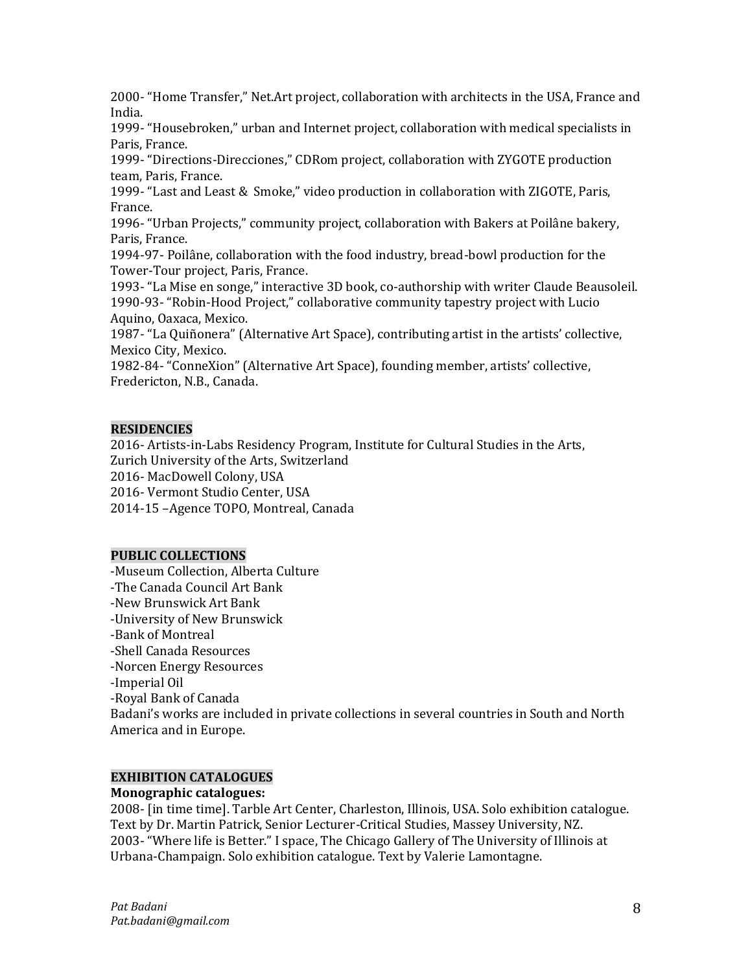2000- "Home Transfer," Net.Art project, collaboration with architects in the USA, France and India.

1999- "Housebroken," urban and Internet project, collaboration with medical specialists in Paris, France.

1999- "Directions-Direcciones," CDRom project, collaboration with ZYGOTE production team, Paris, France.

1999- "Last and Least & Smoke," video production in collaboration with ZIGOTE, Paris, France.

1996- "Urban Projects," community project, collaboration with Bakers at Poilâne bakery, Paris, France.

1994-97- Poilâne, collaboration with the food industry, bread-bowl production for the Tower-Tour project, Paris, France.

1993- "La Mise en songe," interactive 3D book, co-authorship with writer Claude Beausoleil. 1990-93- "Robin-Hood Project," collaborative community tapestry project with Lucio Aquino, Oaxaca, Mexico.

1987- "La Quiñonera" (Alternative Art Space), contributing artist in the artists' collective, Mexico City, Mexico.

1982-84- "ConneXion" (Alternative Art Space), founding member, artists' collective, Fredericton, N.B., Canada.

## **RESIDENCIES**

2016- Artists-in-Labs Residency Program, Institute for Cultural Studies in the Arts, Zurich University of the Arts, Switzerland 2016- MacDowell Colony, USA

2016- Vermont Studio Center, USA

2014-15 –Agence TOPO, Montreal, Canada

### **PUBLIC COLLECTIONS**

-Museum Collection, Alberta Culture -The Canada Council Art Bank -New Brunswick Art Bank -University of New Brunswick -Bank of Montreal -Shell Canada Resources -Norcen Energy Resources -Imperial Oil -Royal Bank of Canada Badani's works are included in private collections in several countries in South and North America and in Europe.

#### **EXHIBITION CATALOGUES**

### **Monographic catalogues:**

2008- [in time time]. Tarble Art Center, Charleston, Illinois, USA. Solo exhibition catalogue. Text by Dr. Martin Patrick, Senior Lecturer-Critical Studies, Massey University, NZ. 2003- "Where life is Better." I space, The Chicago Gallery of The University of Illinois at Urbana-Champaign. Solo exhibition catalogue. Text by Valerie Lamontagne.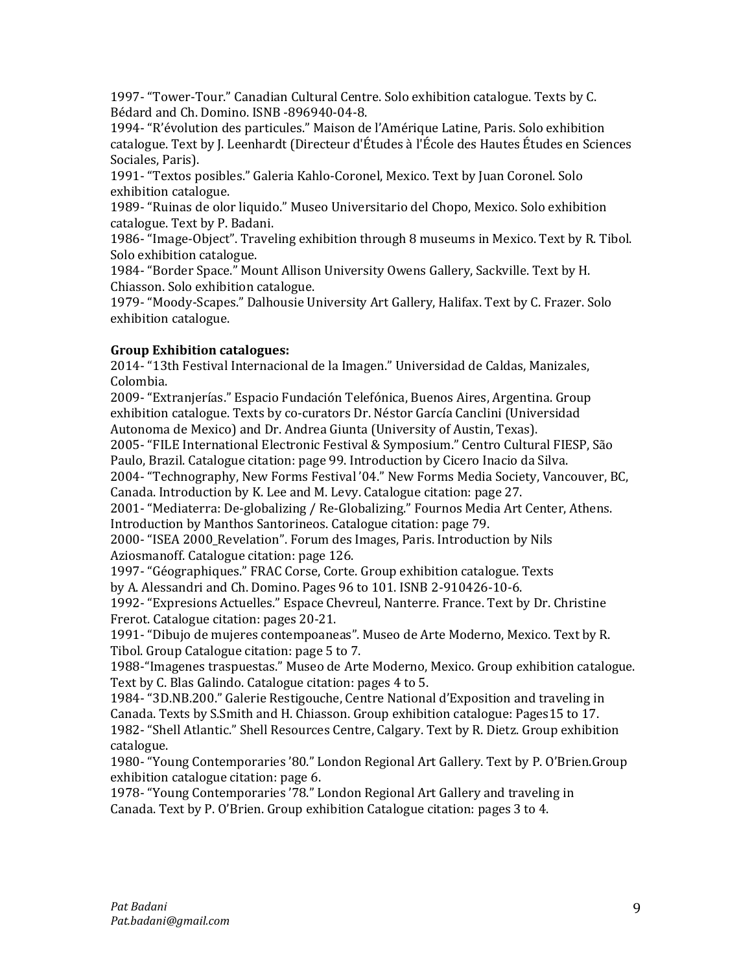1997- "Tower-Tour." Canadian Cultural Centre. Solo exhibition catalogue. Texts by C. Bédard and Ch. Domino. ISNB -896940-04-8.

1994- "R'évolution des particules." Maison de l'Amérique Latine, Paris. Solo exhibition catalogue. Text by J. Leenhardt (Directeur d'Études à l'École des Hautes Études en Sciences Sociales, Paris).

1991- "Textos posibles." Galeria Kahlo-Coronel, Mexico. Text by Juan Coronel. Solo exhibition catalogue.

1989- "Ruinas de olor liquido." Museo Universitario del Chopo, Mexico. Solo exhibition catalogue. Text by P. Badani.

1986- "Image-Object". Traveling exhibition through 8 museums in Mexico. Text by R. Tibol. Solo exhibition catalogue.

1984- "Border Space." Mount Allison University Owens Gallery, Sackville. Text by H. Chiasson. Solo exhibition catalogue.

1979- "Moody-Scapes." Dalhousie University Art Gallery, Halifax. Text by C. Frazer. Solo exhibition catalogue.

# **Group Exhibition catalogues:**

2014- "13th Festival Internacional de la Imagen." Universidad de Caldas, Manizales, Colombia.

2009- "Extranjerías." Espacio Fundación Telefónica, Buenos Aires, Argentina. Group exhibition catalogue. Texts by co-curators Dr. Néstor García Canclini (Universidad Autonoma de Mexico) and Dr. Andrea Giunta (University of Austin, Texas).

2005- "FILE International Electronic Festival & Symposium." Centro Cultural FIESP, São Paulo, Brazil. Catalogue citation: page 99. Introduction by Cicero Inacio da Silva.

2004- "Technography, New Forms Festival '04." New Forms Media Society, Vancouver, BC, Canada. Introduction by K. Lee and M. Levy. Catalogue citation: page 27.

2001- "Mediaterra: De-globalizing / Re-Globalizing." Fournos Media Art Center, Athens. Introduction by Manthos Santorineos. Catalogue citation: page 79.

2000- "ISEA 2000\_Revelation". Forum des Images, Paris. Introduction by Nils Aziosmanoff. Catalogue citation: page 126.

1997- "Géographiques." FRAC Corse, Corte. Group exhibition catalogue. Texts by A. Alessandri and Ch. Domino. Pages 96 to 101. ISNB 2-910426-10-6.

1992- "Expresions Actuelles." Espace Chevreul, Nanterre. France. Text by Dr. Christine Frerot. Catalogue citation: pages 20-21.

1991- "Dibujo de mujeres contempoaneas". Museo de Arte Moderno, Mexico. Text by R. Tibol. Group Catalogue citation: page 5 to 7.

1988-"Imagenes traspuestas." Museo de Arte Moderno, Mexico. Group exhibition catalogue. Text by C. Blas Galindo. Catalogue citation: pages 4 to 5.

1984- "3D.NB.200." Galerie Restigouche, Centre National d'Exposition and traveling in Canada. Texts by S.Smith and H. Chiasson. Group exhibition catalogue: Pages15 to 17. 1982- "Shell Atlantic." Shell Resources Centre, Calgary. Text by R. Dietz. Group exhibition catalogue.

1980- "Young Contemporaries '80." London Regional Art Gallery. Text by P. O'Brien.Group exhibition catalogue citation: page 6.

1978- "Young Contemporaries '78." London Regional Art Gallery and traveling in Canada. Text by P. O'Brien. Group exhibition Catalogue citation: pages 3 to 4.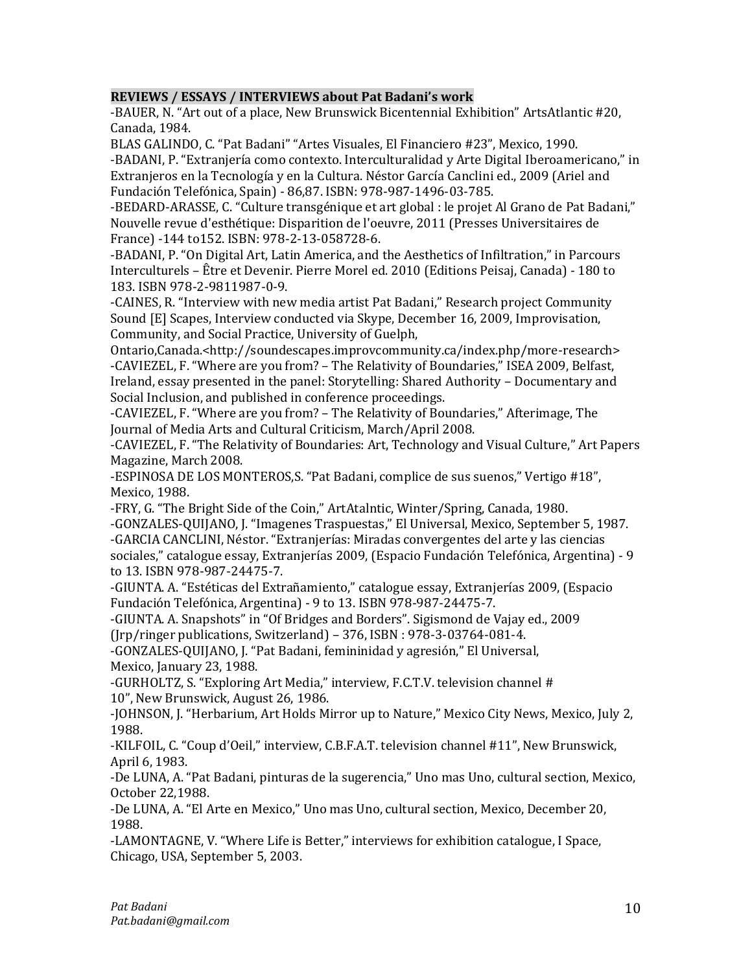# **REVIEWS / ESSAYS / INTERVIEWS about Pat Badani's work**

-BAUER, N. "Art out of a place, New Brunswick Bicentennial Exhibition" ArtsAtlantic #20, Canada, 1984.

BLAS GALINDO, C. "Pat Badani" "Artes Visuales, El Financiero #23", Mexico, 1990.

-BADANI, P. "Extranjería como contexto. Interculturalidad y Arte Digital Iberoamericano," in Extranjeros en la Tecnología y en la Cultura. Néstor García Canclini ed., 2009 (Ariel and Fundación Telefónica, Spain) - 86,87. ISBN: 978-987-1496-03-785.

-BEDARD-ARASSE, C. "Culture transgénique et art global : le projet Al Grano de Pat Badani," Nouvelle revue d'esthétique: Disparition de l'oeuvre, 2011 (Presses Universitaires de France) -144 to152. ISBN: 978-2-13-058728-6.

-BADANI, P. "On Digital Art, Latin America, and the Aesthetics of Infiltration," in Parcours Interculturels – Être et Devenir. Pierre Morel ed. 2010 (Editions Peisaj, Canada) - 180 to 183. ISBN 978-2-9811987-0-9.

-CAINES, R. "Interview with new media artist Pat Badani," Research project Community Sound [E] Scapes, Interview conducted via Skype, December 16, 2009, Improvisation, Community, and Social Practice, University of Guelph,

Ontario,Canada.<http://soundescapes.improvcommunity.ca/index.php/more-research> -CAVIEZEL, F. "Where are you from? – The Relativity of Boundaries," ISEA 2009, Belfast, Ireland, essay presented in the panel: Storytelling: Shared Authority – Documentary and Social Inclusion, and published in conference proceedings.

-CAVIEZEL, F. "Where are you from? – The Relativity of Boundaries," Afterimage, The Journal of Media Arts and Cultural Criticism, March/April 2008.

-CAVIEZEL, F. "The Relativity of Boundaries: Art, Technology and Visual Culture," Art Papers Magazine, March 2008.

-ESPINOSA DE LOS MONTEROS,S. "Pat Badani, complice de sus suenos," Vertigo #18", Mexico, 1988.

-FRY, G. "The Bright Side of the Coin," ArtAtalntic, Winter/Spring, Canada, 1980. -GONZALES-QUIJANO, J. "Imagenes Traspuestas," El Universal, Mexico, September 5, 1987. -GARCIA CANCLINI, Néstor. "Extranjerías: Miradas convergentes del arte y las ciencias sociales," catalogue essay, Extranjerías 2009, (Espacio Fundación Telefónica, Argentina) - 9 to 13. ISBN 978-987-24475-7.

-GIUNTA. A. "Estéticas del Extrañamiento," catalogue essay, Extranjerías 2009, (Espacio Fundación Telefónica, Argentina) - 9 to 13. ISBN 978-987-24475-7.

-GIUNTA. A. Snapshots" in "Of Bridges and Borders". Sigismond de Vajay ed., 2009

(Jrp/ringer publications, Switzerland) – 376, ISBN : 978-3-03764-081-4.

-GONZALES-QUIJANO, J. "Pat Badani, femininidad y agresión," El Universal, Mexico, January 23, 1988.

-GURHOLTZ, S. "Exploring Art Media," interview, F.C.T.V. television channel # 10", New Brunswick, August 26, 1986.

-JOHNSON, J. "Herbarium, Art Holds Mirror up to Nature," Mexico City News, Mexico, July 2, 1988.

-KILFOIL, C. "Coup d'Oeil," interview, C.B.F.A.T. television channel #11", New Brunswick, April 6, 1983.

-De LUNA, A. "Pat Badani, pinturas de la sugerencia," Uno mas Uno, cultural section, Mexico, October 22,1988.

-De LUNA, A. "El Arte en Mexico," Uno mas Uno, cultural section, Mexico, December 20, 1988.

-LAMONTAGNE, V. "Where Life is Better," interviews for exhibition catalogue, I Space, Chicago, USA, September 5, 2003.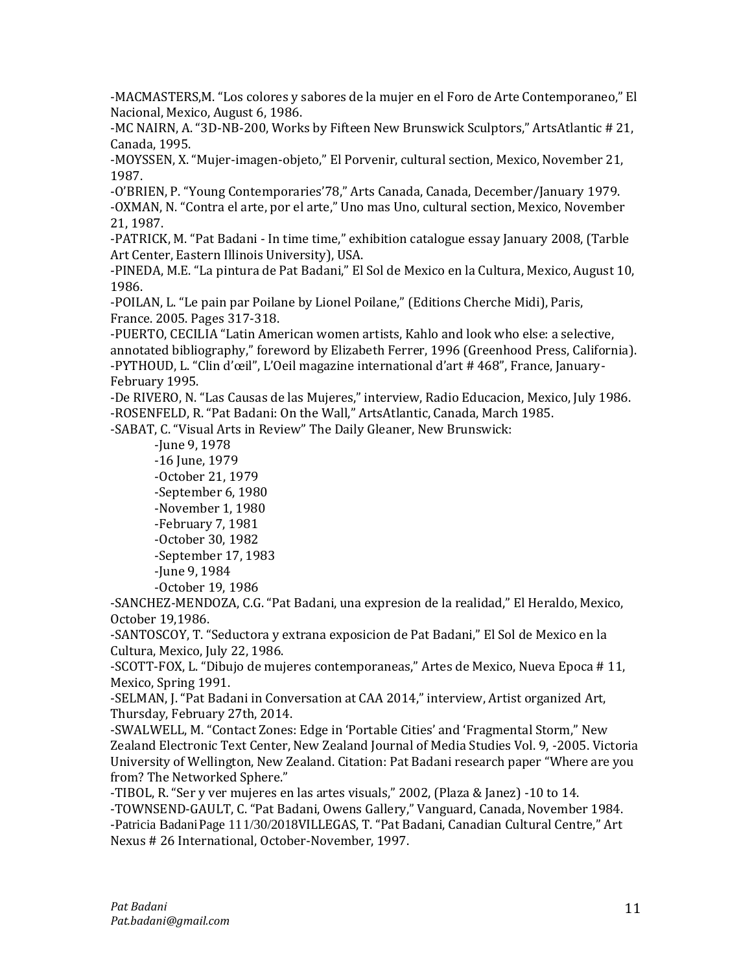-MACMASTERS,M. "Los colores y sabores de la mujer en el Foro de Arte Contemporaneo," El Nacional, Mexico, August 6, 1986.

-MC NAIRN, A. "3D-NB-200, Works by Fifteen New Brunswick Sculptors," ArtsAtlantic # 21, Canada, 1995.

-MOYSSEN, X. "Mujer-imagen-objeto," El Porvenir, cultural section, Mexico, November 21, 1987.

-O'BRIEN, P. "Young Contemporaries'78," Arts Canada, Canada, December/January 1979. -OXMAN, N. "Contra el arte, por el arte," Uno mas Uno, cultural section, Mexico, November 21, 1987.

-PATRICK, M. "Pat Badani - In time time," exhibition catalogue essay January 2008, (Tarble Art Center, Eastern Illinois University), USA.

-PINEDA, M.E. "La pintura de Pat Badani," El Sol de Mexico en la Cultura, Mexico, August 10, 1986.

-POILAN, L. "Le pain par Poilane by Lionel Poilane," (Editions Cherche Midi), Paris, France. 2005. Pages 317-318.

-PUERTO, CECILIA "Latin American women artists, Kahlo and look who else: a selective, annotated bibliography," foreword by Elizabeth Ferrer, 1996 (Greenhood Press, California). -PYTHOUD, L. "Clin d'œil", L'Oeil magazine international d'art # 468", France, January-February 1995.

-De RIVERO, N. "Las Causas de las Mujeres," interview, Radio Educacion, Mexico, July 1986. -ROSENFELD, R. "Pat Badani: On the Wall," ArtsAtlantic, Canada, March 1985.

-SABAT, C. "Visual Arts in Review" The Daily Gleaner, New Brunswick:

-June 9, 1978 -16 June, 1979 -October 21, 1979 -September 6, 1980 -November 1, 1980 -February 7, 1981 -October 30, 1982 -September 17, 1983 -June 9, 1984 -October 19, 1986

-SANCHEZ-MENDOZA, C.G. "Pat Badani, una expresion de la realidad," El Heraldo, Mexico, October 19,1986.

-SANTOSCOY, T. "Seductora y extrana exposicion de Pat Badani," El Sol de Mexico en la Cultura, Mexico, July 22, 1986.

-SCOTT-FOX, L. "Dibujo de mujeres contemporaneas," Artes de Mexico, Nueva Epoca # 11, Mexico, Spring 1991.

-SELMAN, J. "Pat Badani in Conversation at CAA 2014," interview, Artist organized Art, Thursday, February 27th, 2014.

-SWALWELL, M. "Contact Zones: Edge in 'Portable Cities' and 'Fragmental Storm," New Zealand Electronic Text Center, New Zealand Journal of Media Studies Vol. 9, -2005. Victoria University of Wellington, New Zealand. Citation: Pat Badani research paper "Where are you from? The Networked Sphere."

-TIBOL, R. "Ser y ver mujeres en las artes visuals," 2002, (Plaza & Janez) -10 to 14. -TOWNSEND-GAULT, C. "Pat Badani, Owens Gallery," Vanguard, Canada, November 1984. -Patricia BadaniPage 111/30/2018VILLEGAS, T. "Pat Badani, Canadian Cultural Centre," Art Nexus # 26 International, October-November, 1997.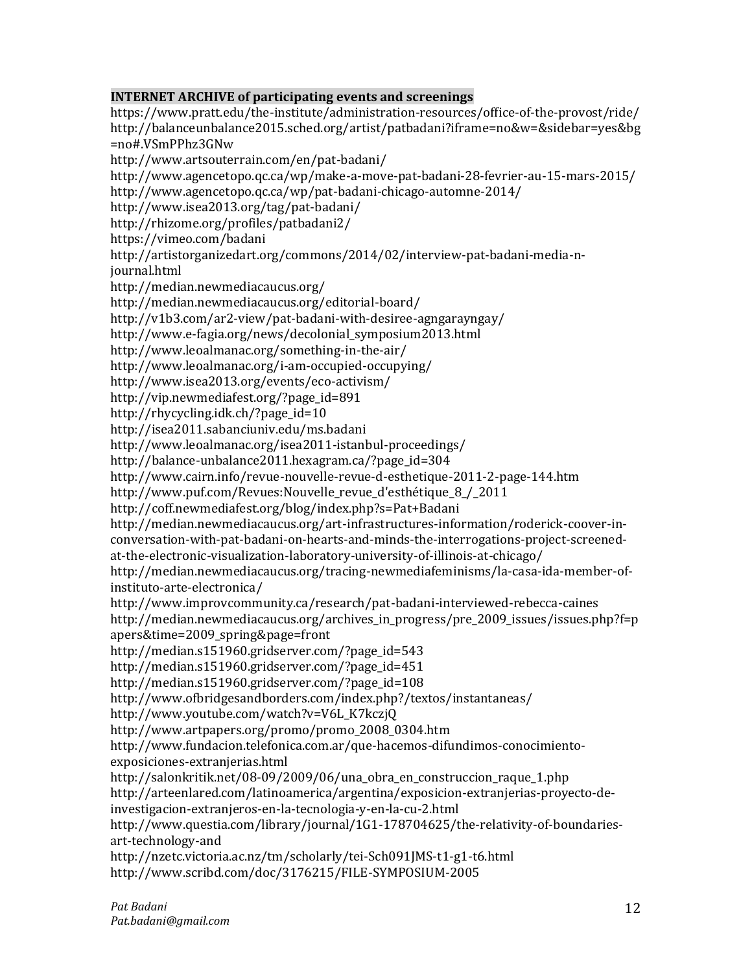# **INTERNET ARCHIVE of participating events and screenings**

https://www.pratt.edu/the-institute/administration-resources/office-of-the-provost/ride/ http://balanceunbalance2015.sched.org/artist/patbadani?iframe=no&w=&sidebar=yes&bg =no#.VSmPPhz3GNw http://www.artsouterrain.com/en/pat-badani/ http://www.agencetopo.qc.ca/wp/make-a-move-pat-badani-28-fevrier-au-15-mars-2015/ http://www.agencetopo.qc.ca/wp/pat-badani-chicago-automne-2014/ http://www.isea2013.org/tag/pat-badani/ http://rhizome.org/profiles/patbadani2/ https://vimeo.com/badani http://artistorganizedart.org/commons/2014/02/interview-pat-badani-media-njournal.html http://median.newmediacaucus.org/ http://median.newmediacaucus.org/editorial-board/ http://v1b3.com/ar2-view/pat-badani-with-desiree-agngarayngay/ http://www.e-fagia.org/news/decolonial\_symposium2013.html http://www.leoalmanac.org/something-in-the-air/ http://www.leoalmanac.org/i-am-occupied-occupying/ http://www.isea2013.org/events/eco-activism/ http://vip.newmediafest.org/?page\_id=891 http://rhycycling.idk.ch/?page\_id=10 http://isea2011.sabanciuniv.edu/ms.badani http://www.leoalmanac.org/isea2011-istanbul-proceedings/ http://balance-unbalance2011.hexagram.ca/?page\_id=304 http://www.cairn.info/revue-nouvelle-revue-d-esthetique-2011-2-page-144.htm http://www.puf.com/Revues:Nouvelle\_revue\_d'esthétique\_8\_/\_2011 http://coff.newmediafest.org/blog/index.php?s=Pat+Badani http://median.newmediacaucus.org/art-infrastructures-information/roderick-coover-inconversation-with-pat-badani-on-hearts-and-minds-the-interrogations-project-screenedat-the-electronic-visualization-laboratory-university-of-illinois-at-chicago/ http://median.newmediacaucus.org/tracing-newmediafeminisms/la-casa-ida-member-ofinstituto-arte-electronica/ http://www.improvcommunity.ca/research/pat-badani-interviewed-rebecca-caines http://median.newmediacaucus.org/archives\_in\_progress/pre\_2009\_issues/issues.php?f=p apers&time=2009\_spring&page=front http://median.s151960.gridserver.com/?page\_id=543 http://median.s151960.gridserver.com/?page\_id=451 http://median.s151960.gridserver.com/?page\_id=108 http://www.ofbridgesandborders.com/index.php?/textos/instantaneas/ http://www.youtube.com/watch?v=V6L\_K7kczjQ http://www.artpapers.org/promo/promo\_2008\_0304.htm http://www.fundacion.telefonica.com.ar/que-hacemos-difundimos-conocimientoexposiciones-extranjerias.html http://salonkritik.net/08-09/2009/06/una\_obra\_en\_construccion\_raque\_1.php http://arteenlared.com/latinoamerica/argentina/exposicion-extranjerias-proyecto-deinvestigacion-extranjeros-en-la-tecnologia-y-en-la-cu-2.html http://www.questia.com/library/journal/1G1-178704625/the-relativity-of-boundariesart-technology-and http://nzetc.victoria.ac.nz/tm/scholarly/tei-Sch091JMS-t1-g1-t6.html http://www.scribd.com/doc/3176215/FILE-SYMPOSIUM-2005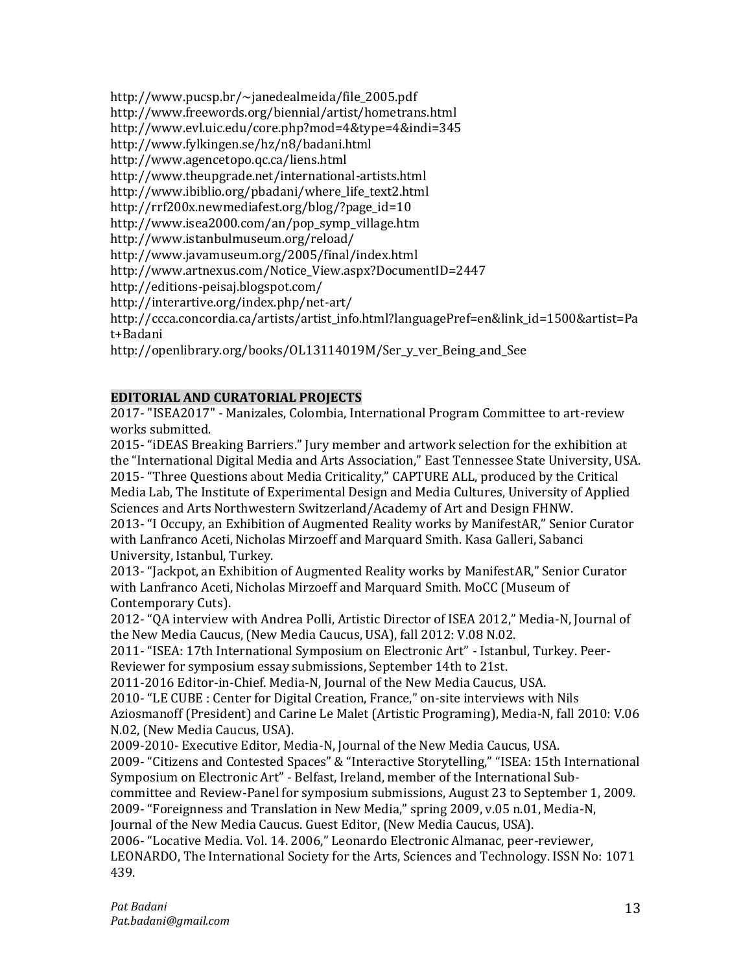http://www.pucsp.br/~janedealmeida/file\_2005.pdf

http://www.freewords.org/biennial/artist/hometrans.html

http://www.evl.uic.edu/core.php?mod=4&type=4&indi=345

http://www.fylkingen.se/hz/n8/badani.html

http://www.agencetopo.qc.ca/liens.html

http://www.theupgrade.net/international-artists.html

http://www.ibiblio.org/pbadani/where\_life\_text2.html

http://rrf200x.newmediafest.org/blog/?page\_id=10

http://www.isea2000.com/an/pop\_symp\_village.htm

http://www.istanbulmuseum.org/reload/

http://www.javamuseum.org/2005/final/index.html

http://www.artnexus.com/Notice\_View.aspx?DocumentID=2447

http://editions-peisaj.blogspot.com/

http://interartive.org/index.php/net-art/

http://ccca.concordia.ca/artists/artist\_info.html?languagePref=en&link\_id=1500&artist=Pa t+Badani

http://openlibrary.org/books/OL13114019M/Ser\_y\_ver\_Being\_and\_See

# **EDITORIAL AND CURATORIAL PROJECTS**

2017- "ISEA2017" - Manizales, Colombia, International Program Committee to art-review works submitted.

2015- "iDEAS Breaking Barriers." Jury member and artwork selection for the exhibition at the "International Digital Media and Arts Association," East Tennessee State University, USA. 2015- "Three Questions about Media Criticality," CAPTURE ALL, produced by the Critical Media Lab, The Institute of Experimental Design and Media Cultures, University of Applied Sciences and Arts Northwestern Switzerland/Academy of Art and Design FHNW.

2013- "I Occupy, an Exhibition of Augmented Reality works by ManifestAR," Senior Curator with Lanfranco Aceti, Nicholas Mirzoeff and Marquard Smith. Kasa Galleri, Sabanci University, Istanbul, Turkey.

2013- "Jackpot, an Exhibition of Augmented Reality works by ManifestAR," Senior Curator with Lanfranco Aceti, Nicholas Mirzoeff and Marquard Smith. MoCC (Museum of Contemporary Cuts).

2012- "QA interview with Andrea Polli, Artistic Director of ISEA 2012," Media-N, Journal of the New Media Caucus, (New Media Caucus, USA), fall 2012: V.08 N.02.

2011- "ISEA: 17th International Symposium on Electronic Art" - Istanbul, Turkey. Peer-Reviewer for symposium essay submissions, September 14th to 21st.

2011-2016 Editor-in-Chief. Media-N, Journal of the New Media Caucus, USA.

2010- "LE CUBE : Center for Digital Creation, France," on-site interviews with Nils

Aziosmanoff (President) and Carine Le Malet (Artistic Programing), Media-N, fall 2010: V.06 N.02, (New Media Caucus, USA).

2009-2010- Executive Editor, Media-N, Journal of the New Media Caucus, USA.

2009- "Citizens and Contested Spaces" & "Interactive Storytelling," "ISEA: 15th International Symposium on Electronic Art" - Belfast, Ireland, member of the International Sub-

committee and Review-Panel for symposium submissions, August 23 to September 1, 2009.

2009- "Foreignness and Translation in New Media," spring 2009, v.05 n.01, Media-N,

Journal of the New Media Caucus. Guest Editor, (New Media Caucus, USA).

2006- "Locative Media. Vol. 14. 2006," Leonardo Electronic Almanac, peer-reviewer, LEONARDO, The International Society for the Arts, Sciences and Technology. ISSN No: 1071 439.